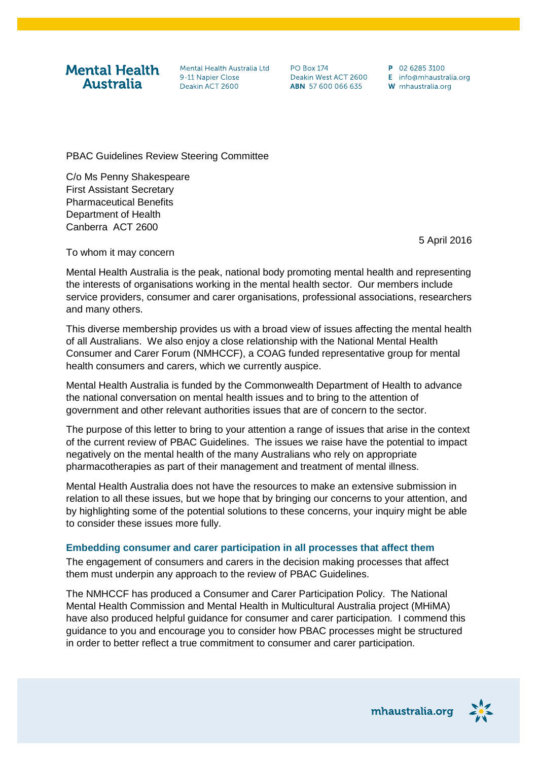**Mental Health Australia** 

Mental Health Australia Ltd 9-11 Napier Close Deakin ACT 2600

**PO Box 174** Deakin West ACT 2600 ABN 57 600 066 635

P 02 6285 3100  $F$  info@mhaustralia.org W mhaustralia.org

PBAC Guidelines Review Steering Committee

C/o Ms Penny Shakespeare First Assistant Secretary Pharmaceutical Benefits Department of Health Canberra ACT 2600

5 April 2016

To whom it may concern

Mental Health Australia is the peak, national body promoting mental health and representing the interests of organisations working in the mental health sector. Our members include service providers, consumer and carer organisations, professional associations, researchers and many others.

This diverse membership provides us with a broad view of issues affecting the mental health of all Australians. We also enjoy a close relationship with the National Mental Health Consumer and Carer Forum (NMHCCF), a COAG funded representative group for mental health consumers and carers, which we currently auspice.

Mental Health Australia is funded by the Commonwealth Department of Health to advance the national conversation on mental health issues and to bring to the attention of government and other relevant authorities issues that are of concern to the sector.

The purpose of this letter to bring to your attention a range of issues that arise in the context of the current review of PBAC Guidelines. The issues we raise have the potential to impact negatively on the mental health of the many Australians who rely on appropriate pharmacotherapies as part of their management and treatment of mental illness.

Mental Health Australia does not have the resources to make an extensive submission in relation to all these issues, but we hope that by bringing our concerns to your attention, and by highlighting some of the potential solutions to these concerns, your inquiry might be able to consider these issues more fully.

#### **Embedding consumer and carer participation in all processes that affect them**

The engagement of consumers and carers in the decision making processes that affect them must underpin any approach to the review of PBAC Guidelines.

The NMHCCF has produced a Consumer and Carer Participation Policy. The National Mental Health Commission and Mental Health in Multicultural Australia project (MHiMA) have also produced helpful guidance for consumer and carer participation. I commend this guidance to you and encourage you to consider how PBAC processes might be structured in order to better reflect a true commitment to consumer and carer participation.

mhaustralia.org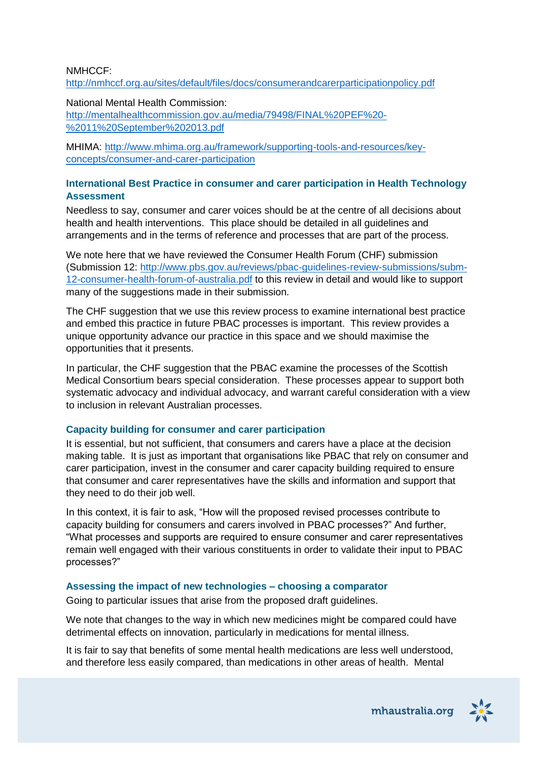#### NMHCCF:

<http://nmhccf.org.au/sites/default/files/docs/consumerandcarerparticipationpolicy.pdf>

National Mental Health Commission:

[http://mentalhealthcommission.gov.au/media/79498/FINAL%20PEF%20-](http://mentalhealthcommission.gov.au/media/79498/FINAL%20PEF%20-%2011%20September%202013.pdf) [%2011%20September%202013.pdf](http://mentalhealthcommission.gov.au/media/79498/FINAL%20PEF%20-%2011%20September%202013.pdf)

MHIMA: [http://www.mhima.org.au/framework/supporting-tools-and-resources/key](http://www.mhima.org.au/framework/supporting-tools-and-resources/key-concepts/consumer-and-carer-participation)[concepts/consumer-and-carer-participation](http://www.mhima.org.au/framework/supporting-tools-and-resources/key-concepts/consumer-and-carer-participation)

### **International Best Practice in consumer and carer participation in Health Technology Assessment**

Needless to say, consumer and carer voices should be at the centre of all decisions about health and health interventions. This place should be detailed in all guidelines and arrangements and in the terms of reference and processes that are part of the process.

We note here that we have reviewed the Consumer Health Forum (CHF) submission (Submission 12: [http://www.pbs.gov.au/reviews/pbac-guidelines-review-submissions/subm-](http://www.pbs.gov.au/reviews/pbac-guidelines-review-submissions/subm-12-consumer-health-forum-of-australia.pdf)[12-consumer-health-forum-of-australia.pdf](http://www.pbs.gov.au/reviews/pbac-guidelines-review-submissions/subm-12-consumer-health-forum-of-australia.pdf) to this review in detail and would like to support many of the suggestions made in their submission.

The CHF suggestion that we use this review process to examine international best practice and embed this practice in future PBAC processes is important. This review provides a unique opportunity advance our practice in this space and we should maximise the opportunities that it presents.

In particular, the CHF suggestion that the PBAC examine the processes of the Scottish Medical Consortium bears special consideration. These processes appear to support both systematic advocacy and individual advocacy, and warrant careful consideration with a view to inclusion in relevant Australian processes.

### **Capacity building for consumer and carer participation**

It is essential, but not sufficient, that consumers and carers have a place at the decision making table. It is just as important that organisations like PBAC that rely on consumer and carer participation, invest in the consumer and carer capacity building required to ensure that consumer and carer representatives have the skills and information and support that they need to do their job well.

In this context, it is fair to ask, "How will the proposed revised processes contribute to capacity building for consumers and carers involved in PBAC processes?" And further, "What processes and supports are required to ensure consumer and carer representatives remain well engaged with their various constituents in order to validate their input to PBAC processes?"

# **Assessing the impact of new technologies – choosing a comparator**

Going to particular issues that arise from the proposed draft guidelines.

We note that changes to the way in which new medicines might be compared could have detrimental effects on innovation, particularly in medications for mental illness.

It is fair to say that benefits of some mental health medications are less well understood, and therefore less easily compared, than medications in other areas of health. Mental